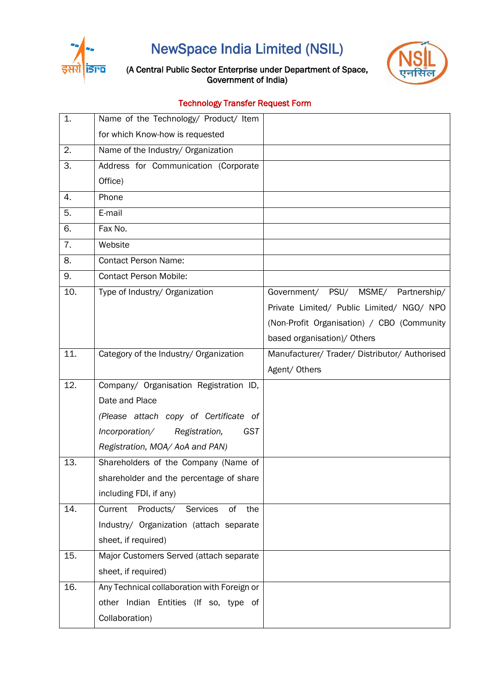

NewSpace India Limited (NSIL)

## (A Central Public Sector Enterprise under Department of Space, Government of India)

## Technology Transfer Request Form

| 1.  | Name of the Technology/ Product/ Item         |                                               |
|-----|-----------------------------------------------|-----------------------------------------------|
|     | for which Know-how is requested               |                                               |
| 2.  | Name of the Industry/ Organization            |                                               |
| 3.  | Address for Communication (Corporate          |                                               |
|     | Office)                                       |                                               |
| 4.  | Phone                                         |                                               |
| 5.  | E-mail                                        |                                               |
| 6.  | Fax No.                                       |                                               |
| 7.  | Website                                       |                                               |
| 8.  | <b>Contact Person Name:</b>                   |                                               |
| 9.  | <b>Contact Person Mobile:</b>                 |                                               |
| 10. | Type of Industry/ Organization                | Government/ PSU/ MSME/<br>Partnership/        |
|     |                                               | Private Limited/ Public Limited/ NGO/ NPO     |
|     |                                               | (Non-Profit Organisation) / CBO (Community    |
|     |                                               | based organisation)/ Others                   |
| 11. | Category of the Industry/ Organization        | Manufacturer/ Trader/ Distributor/ Authorised |
|     |                                               | Agent/ Others                                 |
| 12. | Company/ Organisation Registration ID,        |                                               |
|     | Date and Place                                |                                               |
|     | (Please attach copy of Certificate of         |                                               |
|     | Incorporation/<br>Registration,<br><b>GST</b> |                                               |
|     | Registration, MOA/AoA and PAN)                |                                               |
| 13. | Shareholders of the Company (Name of          |                                               |
|     | shareholder and the percentage of share       |                                               |
|     | including FDI, if any)                        |                                               |
| 14. | Products/ Services<br>of<br>the<br>Current    |                                               |
|     | Industry/ Organization (attach separate       |                                               |
|     | sheet, if required)                           |                                               |
| 15. | Major Customers Served (attach separate       |                                               |
|     | sheet, if required)                           |                                               |
| 16. | Any Technical collaboration with Foreign or   |                                               |
|     | other Indian Entities (If so, type of         |                                               |
|     | Collaboration)                                |                                               |